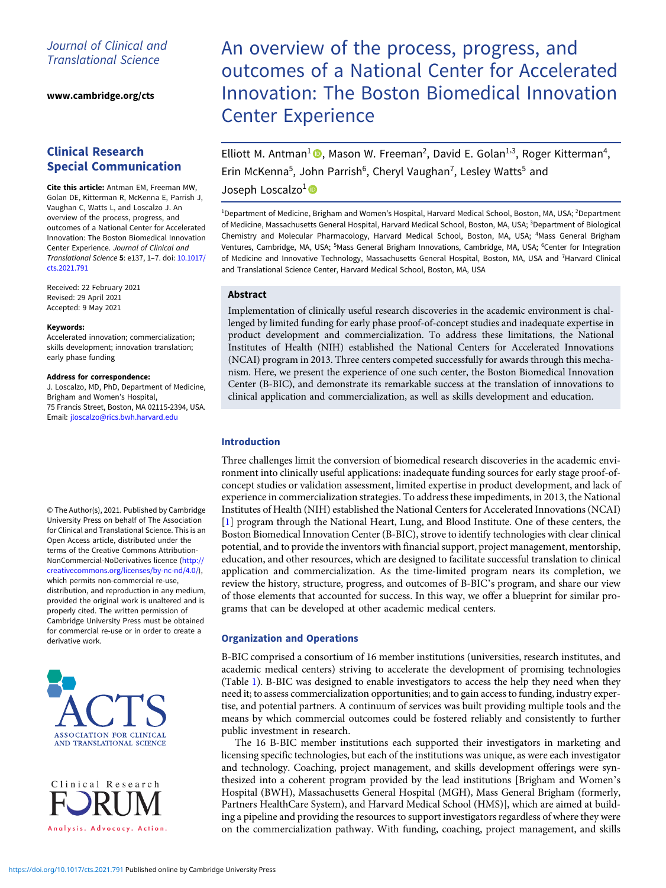# Journal of Clinical and Translational Science

[www.cambridge.org/cts](https://www.cambridge.org/cts)

# Clinical Research Special Communication

Cite this article: Antman EM, Freeman MW, Golan DE, Kitterman R, McKenna E, Parrish J, Vaughan C, Watts L, and Loscalzo J. An overview of the process, progress, and outcomes of a National Center for Accelerated Innovation: The Boston Biomedical Innovation Center Experience. Journal of Clinical and Translational Science 5: e137, 1–7. doi: [10.1017/](https://doi.org/10.1017/cts.2021.791) [cts.2021.791](https://doi.org/10.1017/cts.2021.791)

Received: 22 February 2021 Revised: 29 April 2021 Accepted: 9 May 2021

#### Keywords:

Accelerated innovation; commercialization; skills development; innovation translation; early phase funding

#### Address for correspondence:

J. Loscalzo, MD, PhD, Department of Medicine, Brigham and Women's Hospital, 75 Francis Street, Boston, MA 02115-2394, USA. Email: [jloscalzo@rics.bwh.harvard.edu](mailto:jloscalzo@rics.bwh.harvard.edu)

© The Author(s), 2021. Published by Cambridge University Press on behalf of The Association for Clinical and Translational Science. This is an Open Access article, distributed under the terms of the Creative Commons Attribution-NonCommercial-NoDerivatives licence ([http://](http://creativecommons.org/licenses/by-nc-nd/4.0/) [creativecommons.org/licenses/by-nc-nd/4.0/](http://creativecommons.org/licenses/by-nc-nd/4.0/)), which permits non-commercial re-use. distribution, and reproduction in any medium, provided the original work is unaltered and is properly cited. The written permission of Cambridge University Press must be obtained for commercial re-use or in order to create a derivative work.



Clinical Research Analysis. Advocacy. Action.

# An overview of the process, progress, and outcomes of a National Center for Accelerated Innovation: The Boston Biomedical Innovation Center Experience

Elliott M. Antman<sup>1</sup><sup>®</sup>, Mason W. Freeman<sup>2</sup>, David E. Golan<sup>1,3</sup>, Roger Kitterman<sup>4</sup>, Erin McKenna<sup>5</sup>, John Parrish<sup>6</sup>, Cheryl Vaughan<sup>7</sup>, Lesley Watts<sup>5</sup> and

# Joseph Loscalzo<sup>1</sup><sup>®</sup>

<sup>1</sup>Department of Medicine, Brigham and Women's Hospital, Harvard Medical School, Boston, MA, USA; <sup>2</sup>Department of Medicine, Massachusetts General Hospital, Harvard Medical School, Boston, MA, USA; <sup>3</sup>Department of Biological Chemistry and Molecular Pharmacology, Harvard Medical School, Boston, MA, USA; <sup>4</sup> Mass General Brigham Ventures, Cambridge, MA, USA; <sup>5</sup>Mass General Brigham Innovations, Cambridge, MA, USA; <sup>6</sup>Center for Integration of Medicine and Innovative Technology, Massachusetts General Hospital, Boston, MA, USA and <sup>7</sup>Harvard Clinical and Translational Science Center, Harvard Medical School, Boston, MA, USA

# Abstract

Implementation of clinically useful research discoveries in the academic environment is challenged by limited funding for early phase proof-of-concept studies and inadequate expertise in product development and commercialization. To address these limitations, the National Institutes of Health (NIH) established the National Centers for Accelerated Innovations (NCAI) program in 2013. Three centers competed successfully for awards through this mechanism. Here, we present the experience of one such center, the Boston Biomedical Innovation Center (B-BIC), and demonstrate its remarkable success at the translation of innovations to clinical application and commercialization, as well as skills development and education.

# Introduction

Three challenges limit the conversion of biomedical research discoveries in the academic environment into clinically useful applications: inadequate funding sources for early stage proof-ofconcept studies or validation assessment, limited expertise in product development, and lack of experience in commercialization strategies. To address these impediments, in 2013, the National Institutes of Health (NIH) established the National Centers for Accelerated Innovations (NCAI) [\[1\]](#page-6-0) program through the National Heart, Lung, and Blood Institute. One of these centers, the Boston Biomedical Innovation Center (B-BIC), strove to identify technologies with clear clinical potential, and to provide the inventors with financial support, project management, mentorship, education, and other resources, which are designed to facilitate successful translation to clinical application and commercialization. As the time-limited program nears its completion, we review the history, structure, progress, and outcomes of B-BIC's program, and share our view of those elements that accounted for success. In this way, we offer a blueprint for similar programs that can be developed at other academic medical centers.

## Organization and Operations

B-BIC comprised a consortium of 16 member institutions (universities, research institutes, and academic medical centers) striving to accelerate the development of promising technologies (Table [1\)](#page-1-0). B-BIC was designed to enable investigators to access the help they need when they need it; to assess commercialization opportunities; and to gain access to funding, industry expertise, and potential partners. A continuum of services was built providing multiple tools and the means by which commercial outcomes could be fostered reliably and consistently to further public investment in research.

The 16 B-BIC member institutions each supported their investigators in marketing and licensing specific technologies, but each of the institutions was unique, as were each investigator and technology. Coaching, project management, and skills development offerings were synthesized into a coherent program provided by the lead institutions [Brigham and Women's Hospital (BWH), Massachusetts General Hospital (MGH), Mass General Brigham (formerly, Partners HealthCare System), and Harvard Medical School (HMS)], which are aimed at building a pipeline and providing the resources to support investigators regardless of where they were on the commercialization pathway. With funding, coaching, project management, and skills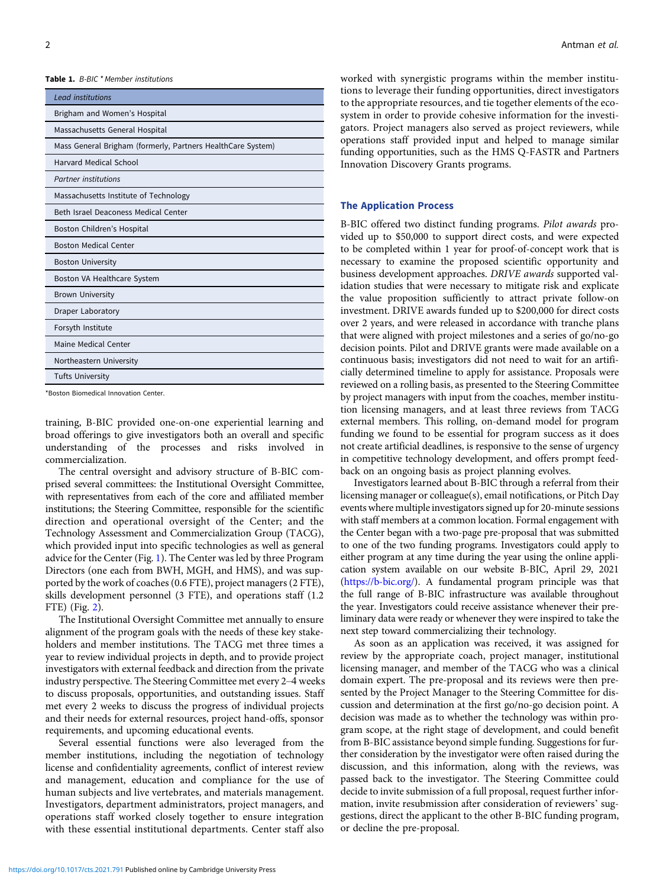<span id="page-1-0"></span>Table 1. B-BIC \* Member institutions

| <b>Lead institutions</b>                                    |
|-------------------------------------------------------------|
| Brigham and Women's Hospital                                |
| Massachusetts General Hospital                              |
| Mass General Brigham (formerly, Partners HealthCare System) |
| Harvard Medical School                                      |
| <b>Partner</b> institutions                                 |
| Massachusetts Institute of Technology                       |
| Beth Israel Deaconess Medical Center                        |
| Boston Children's Hospital                                  |
| <b>Boston Medical Center</b>                                |
| <b>Boston University</b>                                    |
| Boston VA Healthcare System                                 |
| <b>Brown University</b>                                     |
| Draper Laboratory                                           |
| Forsyth Institute                                           |
| Maine Medical Center                                        |
| Northeastern University                                     |
| <b>Tufts University</b>                                     |

\*Boston Biomedical Innovation Center.

training, B-BIC provided one-on-one experiential learning and broad offerings to give investigators both an overall and specific understanding of the processes and risks involved in commercialization.

The central oversight and advisory structure of B-BIC comprised several committees: the Institutional Oversight Committee, with representatives from each of the core and affiliated member institutions; the Steering Committee, responsible for the scientific direction and operational oversight of the Center; and the Technology Assessment and Commercialization Group (TACG), which provided input into specific technologies as well as general advice for the Center (Fig. [1\)](#page-2-0). The Center was led by three Program Directors (one each from BWH, MGH, and HMS), and was supported by the work of coaches (0.6 FTE), project managers (2 FTE), skills development personnel (3 FTE), and operations staff (1.2 FTE) (Fig. [2](#page-2-0)).

The Institutional Oversight Committee met annually to ensure alignment of the program goals with the needs of these key stakeholders and member institutions. The TACG met three times a year to review individual projects in depth, and to provide project investigators with external feedback and direction from the private industry perspective. The Steering Committee met every 2–4 weeks to discuss proposals, opportunities, and outstanding issues. Staff met every 2 weeks to discuss the progress of individual projects and their needs for external resources, project hand-offs, sponsor requirements, and upcoming educational events.

Several essential functions were also leveraged from the member institutions, including the negotiation of technology license and confidentiality agreements, conflict of interest review and management, education and compliance for the use of human subjects and live vertebrates, and materials management. Investigators, department administrators, project managers, and operations staff worked closely together to ensure integration with these essential institutional departments. Center staff also

worked with synergistic programs within the member institutions to leverage their funding opportunities, direct investigators to the appropriate resources, and tie together elements of the ecosystem in order to provide cohesive information for the investigators. Project managers also served as project reviewers, while operations staff provided input and helped to manage similar funding opportunities, such as the HMS Q-FASTR and Partners Innovation Discovery Grants programs.

#### The Application Process

B-BIC offered two distinct funding programs. Pilot awards provided up to \$50,000 to support direct costs, and were expected to be completed within 1 year for proof-of-concept work that is necessary to examine the proposed scientific opportunity and business development approaches. DRIVE awards supported validation studies that were necessary to mitigate risk and explicate the value proposition sufficiently to attract private follow-on investment. DRIVE awards funded up to \$200,000 for direct costs over 2 years, and were released in accordance with tranche plans that were aligned with project milestones and a series of go/no-go decision points. Pilot and DRIVE grants were made available on a continuous basis; investigators did not need to wait for an artificially determined timeline to apply for assistance. Proposals were reviewed on a rolling basis, as presented to the Steering Committee by project managers with input from the coaches, member institution licensing managers, and at least three reviews from TACG external members. This rolling, on-demand model for program funding we found to be essential for program success as it does not create artificial deadlines, is responsive to the sense of urgency in competitive technology development, and offers prompt feedback on an ongoing basis as project planning evolves.

Investigators learned about B-BIC through a referral from their licensing manager or colleague(s), email notifications, or Pitch Day events where multiple investigators signed up for 20-minute sessions with staff members at a common location. Formal engagement with the Center began with a two-page pre-proposal that was submitted to one of the two funding programs. Investigators could apply to either program at any time during the year using the online application system available on our website B-BIC, April 29, 2021 (<https://b-bic.org/>). A fundamental program principle was that the full range of B-BIC infrastructure was available throughout the year. Investigators could receive assistance whenever their preliminary data were ready or whenever they were inspired to take the next step toward commercializing their technology.

As soon as an application was received, it was assigned for review by the appropriate coach, project manager, institutional licensing manager, and member of the TACG who was a clinical domain expert. The pre-proposal and its reviews were then presented by the Project Manager to the Steering Committee for discussion and determination at the first go/no-go decision point. A decision was made as to whether the technology was within program scope, at the right stage of development, and could benefit from B-BIC assistance beyond simple funding. Suggestions for further consideration by the investigator were often raised during the discussion, and this information, along with the reviews, was passed back to the investigator. The Steering Committee could decide to invite submission of a full proposal, request further information, invite resubmission after consideration of reviewers' suggestions, direct the applicant to the other B-BIC funding program, or decline the pre-proposal.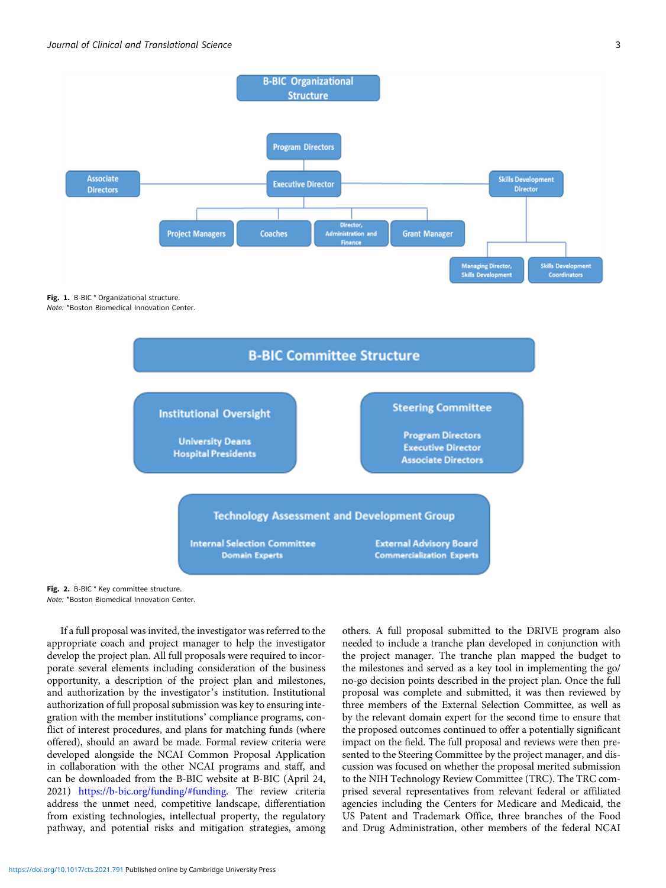<span id="page-2-0"></span>

Fig. 1. B-BIC \* Organizational structure. Note: \*Boston Biomedical Innovation Center.



Fig. 2. B-BIC \* Key committee structure. Note: \*Boston Biomedical Innovation Center.

If a full proposal was invited, the investigator was referred to the appropriate coach and project manager to help the investigator develop the project plan. All full proposals were required to incorporate several elements including consideration of the business opportunity, a description of the project plan and milestones, and authorization by the investigator's institution. Institutional authorization of full proposal submission was key to ensuring integration with the member institutions' compliance programs, conflict of interest procedures, and plans for matching funds (where offered), should an award be made. Formal review criteria were developed alongside the NCAI Common Proposal Application in collaboration with the other NCAI programs and staff, and can be downloaded from the B-BIC website at B-BIC (April 24, 2021) <https://b-bic.org/funding/#funding>. The review criteria address the unmet need, competitive landscape, differentiation from existing technologies, intellectual property, the regulatory pathway, and potential risks and mitigation strategies, among

others. A full proposal submitted to the DRIVE program also needed to include a tranche plan developed in conjunction with the project manager. The tranche plan mapped the budget to the milestones and served as a key tool in implementing the go/ no-go decision points described in the project plan. Once the full proposal was complete and submitted, it was then reviewed by three members of the External Selection Committee, as well as by the relevant domain expert for the second time to ensure that the proposed outcomes continued to offer a potentially significant impact on the field. The full proposal and reviews were then presented to the Steering Committee by the project manager, and discussion was focused on whether the proposal merited submission to the NIH Technology Review Committee (TRC). The TRC comprised several representatives from relevant federal or affiliated agencies including the Centers for Medicare and Medicaid, the US Patent and Trademark Office, three branches of the Food and Drug Administration, other members of the federal NCAI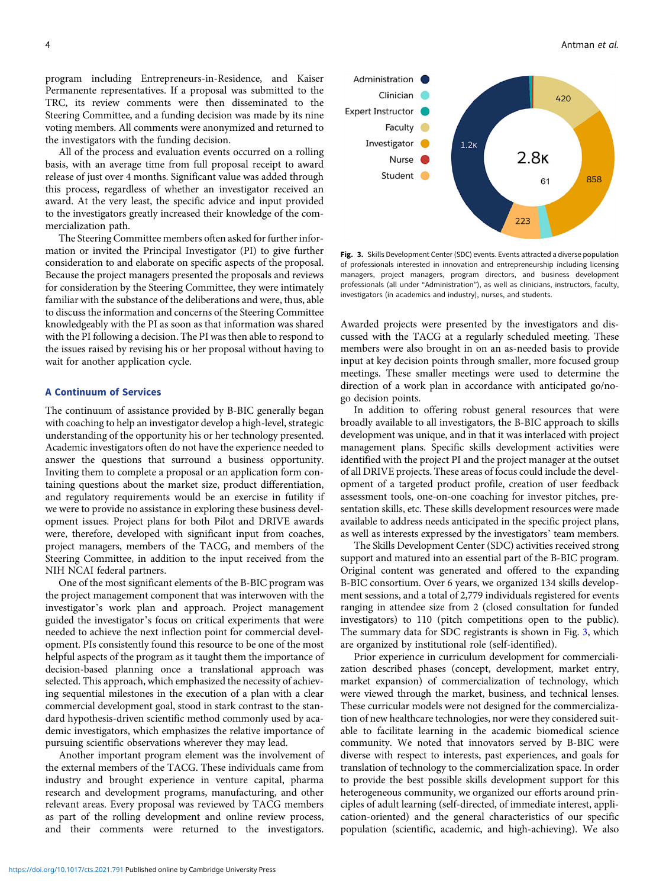program including Entrepreneurs-in-Residence, and Kaiser Permanente representatives. If a proposal was submitted to the TRC, its review comments were then disseminated to the Steering Committee, and a funding decision was made by its nine voting members. All comments were anonymized and returned to the investigators with the funding decision.

All of the process and evaluation events occurred on a rolling basis, with an average time from full proposal receipt to award release of just over 4 months. Significant value was added through this process, regardless of whether an investigator received an award. At the very least, the specific advice and input provided to the investigators greatly increased their knowledge of the commercialization path.

The Steering Committee members often asked for further information or invited the Principal Investigator (PI) to give further consideration to and elaborate on specific aspects of the proposal. Because the project managers presented the proposals and reviews for consideration by the Steering Committee, they were intimately familiar with the substance of the deliberations and were, thus, able to discuss the information and concerns of the Steering Committee knowledgeably with the PI as soon as that information was shared with the PI following a decision. The PI was then able to respond to the issues raised by revising his or her proposal without having to wait for another application cycle.

### A Continuum of Services

The continuum of assistance provided by B-BIC generally began with coaching to help an investigator develop a high-level, strategic understanding of the opportunity his or her technology presented. Academic investigators often do not have the experience needed to answer the questions that surround a business opportunity. Inviting them to complete a proposal or an application form containing questions about the market size, product differentiation, and regulatory requirements would be an exercise in futility if we were to provide no assistance in exploring these business development issues. Project plans for both Pilot and DRIVE awards were, therefore, developed with significant input from coaches, project managers, members of the TACG, and members of the Steering Committee, in addition to the input received from the NIH NCAI federal partners.

One of the most significant elements of the B-BIC program was the project management component that was interwoven with the investigator's work plan and approach. Project management guided the investigator's focus on critical experiments that were needed to achieve the next inflection point for commercial development. PIs consistently found this resource to be one of the most helpful aspects of the program as it taught them the importance of decision-based planning once a translational approach was selected. This approach, which emphasized the necessity of achieving sequential milestones in the execution of a plan with a clear commercial development goal, stood in stark contrast to the standard hypothesis-driven scientific method commonly used by academic investigators, which emphasizes the relative importance of pursuing scientific observations wherever they may lead.

Another important program element was the involvement of the external members of the TACG. These individuals came from industry and brought experience in venture capital, pharma research and development programs, manufacturing, and other relevant areas. Every proposal was reviewed by TACG members as part of the rolling development and online review process, and their comments were returned to the investigators.



Fig. 3. Skills Development Center (SDC) events. Events attracted a diverse population of professionals interested in innovation and entrepreneurship including licensing managers, project managers, program directors, and business development professionals (all under "Administration"), as well as clinicians, instructors, faculty, investigators (in academics and industry), nurses, and students.

Awarded projects were presented by the investigators and discussed with the TACG at a regularly scheduled meeting. These members were also brought in on an as-needed basis to provide input at key decision points through smaller, more focused group meetings. These smaller meetings were used to determine the direction of a work plan in accordance with anticipated go/nogo decision points.

In addition to offering robust general resources that were broadly available to all investigators, the B-BIC approach to skills development was unique, and in that it was interlaced with project management plans. Specific skills development activities were identified with the project PI and the project manager at the outset of all DRIVE projects. These areas of focus could include the development of a targeted product profile, creation of user feedback assessment tools, one-on-one coaching for investor pitches, presentation skills, etc. These skills development resources were made available to address needs anticipated in the specific project plans, as well as interests expressed by the investigators' team members.

The Skills Development Center (SDC) activities received strong support and matured into an essential part of the B-BIC program. Original content was generated and offered to the expanding B-BIC consortium. Over 6 years, we organized 134 skills development sessions, and a total of 2,779 individuals registered for events ranging in attendee size from 2 (closed consultation for funded investigators) to 110 (pitch competitions open to the public). The summary data for SDC registrants is shown in Fig. 3, which are organized by institutional role (self-identified).

Prior experience in curriculum development for commercialization described phases (concept, development, market entry, market expansion) of commercialization of technology, which were viewed through the market, business, and technical lenses. These curricular models were not designed for the commercialization of new healthcare technologies, nor were they considered suitable to facilitate learning in the academic biomedical science community. We noted that innovators served by B-BIC were diverse with respect to interests, past experiences, and goals for translation of technology to the commercialization space. In order to provide the best possible skills development support for this heterogeneous community, we organized our efforts around principles of adult learning (self-directed, of immediate interest, application-oriented) and the general characteristics of our specific population (scientific, academic, and high-achieving). We also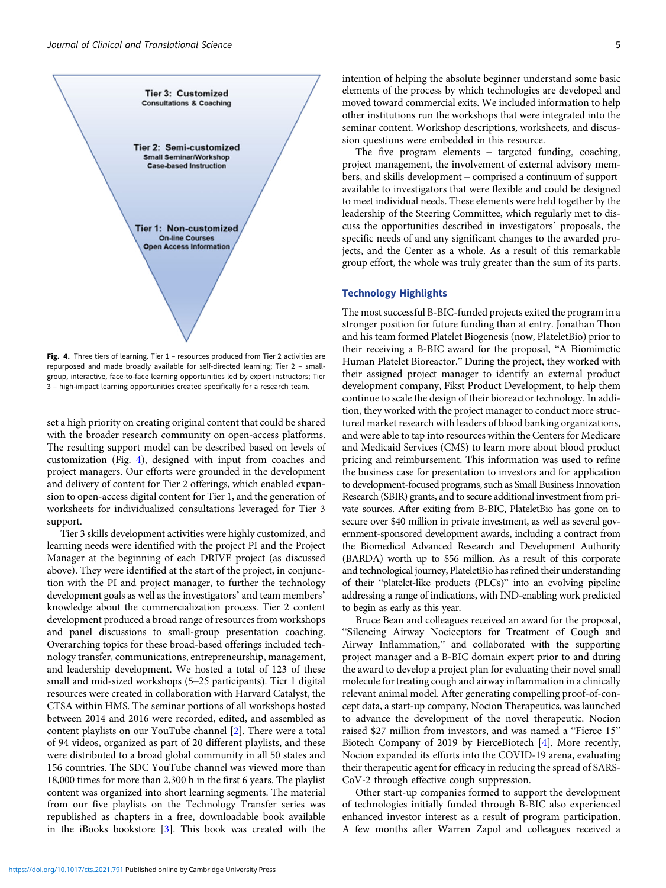

Fig. 4. Three tiers of learning. Tier 1 - resources produced from Tier 2 activities are repurposed and made broadly available for self-directed learning; Tier 2 – smallgroup, interactive, face-to-face learning opportunities led by expert instructors; Tier 3 – high-impact learning opportunities created specifically for a research team.

set a high priority on creating original content that could be shared with the broader research community on open-access platforms. The resulting support model can be described based on levels of customization (Fig. 4), designed with input from coaches and project managers. Our efforts were grounded in the development and delivery of content for Tier 2 offerings, which enabled expansion to open-access digital content for Tier 1, and the generation of worksheets for individualized consultations leveraged for Tier 3 support.

Tier 3 skills development activities were highly customized, and learning needs were identified with the project PI and the Project Manager at the beginning of each DRIVE project (as discussed above). They were identified at the start of the project, in conjunction with the PI and project manager, to further the technology development goals as well as the investigators' and team members' knowledge about the commercialization process. Tier 2 content development produced a broad range of resources from workshops and panel discussions to small-group presentation coaching. Overarching topics for these broad-based offerings included technology transfer, communications, entrepreneurship, management, and leadership development. We hosted a total of 123 of these small and mid-sized workshops (5–25 participants). Tier 1 digital resources were created in collaboration with Harvard Catalyst, the CTSA within HMS. The seminar portions of all workshops hosted between 2014 and 2016 were recorded, edited, and assembled as content playlists on our YouTube channel [[2](#page-6-0)]. There were a total of 94 videos, organized as part of 20 different playlists, and these were distributed to a broad global community in all 50 states and 156 countries. The SDC YouTube channel was viewed more than 18,000 times for more than 2,300 h in the first 6 years. The playlist content was organized into short learning segments. The material from our five playlists on the Technology Transfer series was republished as chapters in a free, downloadable book available in the iBooks bookstore [[3](#page-6-0)]. This book was created with the

intention of helping the absolute beginner understand some basic elements of the process by which technologies are developed and moved toward commercial exits. We included information to help other institutions run the workshops that were integrated into the seminar content. Workshop descriptions, worksheets, and discussion questions were embedded in this resource.

The five program elements – targeted funding, coaching, project management, the involvement of external advisory members, and skills development – comprised a continuum of support available to investigators that were flexible and could be designed to meet individual needs. These elements were held together by the leadership of the Steering Committee, which regularly met to discuss the opportunities described in investigators' proposals, the specific needs of and any significant changes to the awarded projects, and the Center as a whole. As a result of this remarkable group effort, the whole was truly greater than the sum of its parts.

#### Technology Highlights

The most successful B-BIC-funded projects exited the program in a stronger position for future funding than at entry. Jonathan Thon and his team formed Platelet Biogenesis (now, PlateletBio) prior to their receiving a B-BIC award for the proposal, "A Biomimetic Human Platelet Bioreactor." During the project, they worked with their assigned project manager to identify an external product development company, Fikst Product Development, to help them continue to scale the design of their bioreactor technology. In addition, they worked with the project manager to conduct more structured market research with leaders of blood banking organizations, and were able to tap into resources within the Centers for Medicare and Medicaid Services (CMS) to learn more about blood product pricing and reimbursement. This information was used to refine the business case for presentation to investors and for application to development-focused programs, such as Small Business Innovation Research (SBIR) grants, and to secure additional investment from private sources. After exiting from B-BIC, PlateletBio has gone on to secure over \$40 million in private investment, as well as several government-sponsored development awards, including a contract from the Biomedical Advanced Research and Development Authority (BARDA) worth up to \$56 million. As a result of this corporate and technological journey, PlateletBio has refined their understanding of their "platelet-like products (PLCs)" into an evolving pipeline addressing a range of indications, with IND-enabling work predicted to begin as early as this year.

Bruce Bean and colleagues received an award for the proposal, "Silencing Airway Nociceptors for Treatment of Cough and Airway Inflammation," and collaborated with the supporting project manager and a B-BIC domain expert prior to and during the award to develop a project plan for evaluating their novel small molecule for treating cough and airway inflammation in a clinically relevant animal model. After generating compelling proof-of-concept data, a start-up company, Nocion Therapeutics, was launched to advance the development of the novel therapeutic. Nocion raised \$27 million from investors, and was named a "Fierce 15" Biotech Company of 2019 by FierceBiotech [[4](#page-6-0)]. More recently, Nocion expanded its efforts into the COVID-19 arena, evaluating their therapeutic agent for efficacy in reducing the spread of SARS-CoV-2 through effective cough suppression.

Other start-up companies formed to support the development of technologies initially funded through B-BIC also experienced enhanced investor interest as a result of program participation. A few months after Warren Zapol and colleagues received a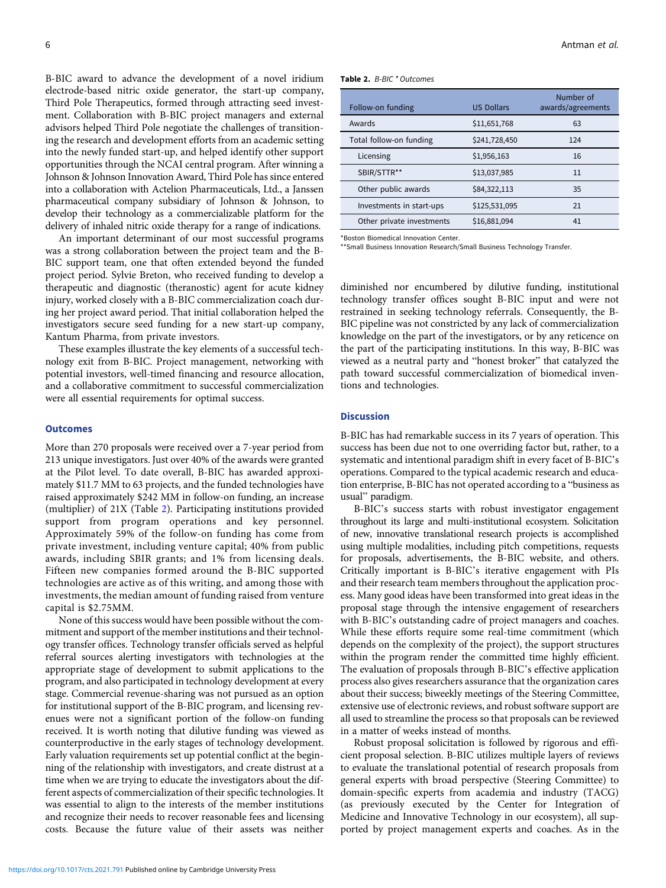B-BIC award to advance the development of a novel iridium electrode-based nitric oxide generator, the start-up company, Third Pole Therapeutics, formed through attracting seed investment. Collaboration with B-BIC project managers and external advisors helped Third Pole negotiate the challenges of transitioning the research and development efforts from an academic setting into the newly funded start-up, and helped identify other support opportunities through the NCAI central program. After winning a Johnson & Johnson Innovation Award, Third Pole has since entered into a collaboration with Actelion Pharmaceuticals, Ltd., a Janssen pharmaceutical company subsidiary of Johnson & Johnson, to develop their technology as a commercializable platform for the delivery of inhaled nitric oxide therapy for a range of indications.

An important determinant of our most successful programs was a strong collaboration between the project team and the B-BIC support team, one that often extended beyond the funded project period. Sylvie Breton, who received funding to develop a therapeutic and diagnostic (theranostic) agent for acute kidney injury, worked closely with a B-BIC commercialization coach during her project award period. That initial collaboration helped the investigators secure seed funding for a new start-up company, Kantum Pharma, from private investors.

These examples illustrate the key elements of a successful technology exit from B-BIC. Project management, networking with potential investors, well-timed financing and resource allocation, and a collaborative commitment to successful commercialization were all essential requirements for optimal success.

#### **Outcomes**

More than 270 proposals were received over a 7-year period from 213 unique investigators. Just over 40% of the awards were granted at the Pilot level. To date overall, B-BIC has awarded approximately \$11.7 MM to 63 projects, and the funded technologies have raised approximately \$242 MM in follow-on funding, an increase (multiplier) of 21X (Table 2). Participating institutions provided support from program operations and key personnel. Approximately 59% of the follow-on funding has come from private investment, including venture capital; 40% from public awards, including SBIR grants; and 1% from licensing deals. Fifteen new companies formed around the B-BIC supported technologies are active as of this writing, and among those with investments, the median amount of funding raised from venture capital is \$2.75MM.

None of this success would have been possible without the commitment and support of the member institutions and their technology transfer offices. Technology transfer officials served as helpful referral sources alerting investigators with technologies at the appropriate stage of development to submit applications to the program, and also participated in technology development at every stage. Commercial revenue-sharing was not pursued as an option for institutional support of the B-BIC program, and licensing revenues were not a significant portion of the follow-on funding received. It is worth noting that dilutive funding was viewed as counterproductive in the early stages of technology development. Early valuation requirements set up potential conflict at the beginning of the relationship with investigators, and create distrust at a time when we are trying to educate the investigators about the different aspects of commercialization of their specific technologies. It was essential to align to the interests of the member institutions and recognize their needs to recover reasonable fees and licensing costs. Because the future value of their assets was neither

| Table 2. B-BIC * Outcomes |  |  |  |  |
|---------------------------|--|--|--|--|
|---------------------------|--|--|--|--|

| Follow-on funding         | <b>US Dollars</b> | Number of<br>awards/agreements |
|---------------------------|-------------------|--------------------------------|
| Awards                    | \$11,651,768      | 63                             |
| Total follow-on funding   | \$241,728,450     | 124                            |
| Licensing                 | \$1,956,163       | 16                             |
| SBIR/STTR**               | \$13,037,985      | 11                             |
| Other public awards       | \$84,322,113      | 35                             |
| Investments in start-ups  | \$125,531,095     | 21                             |
| Other private investments | \$16,881,094      | 41                             |

\*Boston Biomedical Innovation Center.

\*\*Small Business Innovation Research/Small Business Technology Transfer.

diminished nor encumbered by dilutive funding, institutional technology transfer offices sought B-BIC input and were not restrained in seeking technology referrals. Consequently, the B-BIC pipeline was not constricted by any lack of commercialization knowledge on the part of the investigators, or by any reticence on the part of the participating institutions. In this way, B-BIC was viewed as a neutral party and "honest broker" that catalyzed the path toward successful commercialization of biomedical inventions and technologies.

## **Discussion**

B-BIC has had remarkable success in its 7 years of operation. This success has been due not to one overriding factor but, rather, to a systematic and intentional paradigm shift in every facet of B-BIC's operations. Compared to the typical academic research and education enterprise, B-BIC has not operated according to a "business as usual" paradigm.

B-BIC's success starts with robust investigator engagement throughout its large and multi-institutional ecosystem. Solicitation of new, innovative translational research projects is accomplished using multiple modalities, including pitch competitions, requests for proposals, advertisements, the B-BIC website, and others. Critically important is B-BIC's iterative engagement with PIs and their research team members throughout the application process. Many good ideas have been transformed into great ideas in the proposal stage through the intensive engagement of researchers with B-BIC's outstanding cadre of project managers and coaches. While these efforts require some real-time commitment (which depends on the complexity of the project), the support structures within the program render the committed time highly efficient. The evaluation of proposals through B-BIC's effective application process also gives researchers assurance that the organization cares about their success; biweekly meetings of the Steering Committee, extensive use of electronic reviews, and robust software support are all used to streamline the process so that proposals can be reviewed in a matter of weeks instead of months.

Robust proposal solicitation is followed by rigorous and efficient proposal selection. B-BIC utilizes multiple layers of reviews to evaluate the translational potential of research proposals from general experts with broad perspective (Steering Committee) to domain-specific experts from academia and industry (TACG) (as previously executed by the Center for Integration of Medicine and Innovative Technology in our ecosystem), all supported by project management experts and coaches. As in the